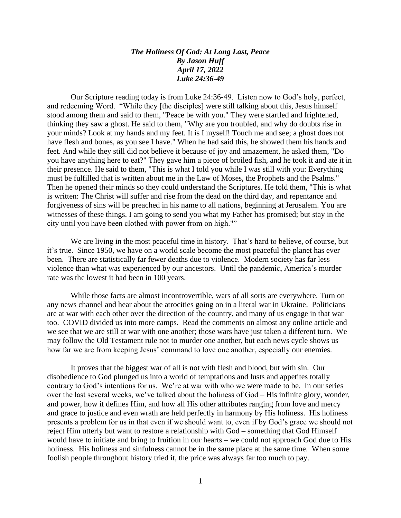## *The Holiness Of God: At Long Last, Peace By Jason Huff April 17, 2022 Luke 24:36-49*

Our Scripture reading today is from Luke 24:36-49. Listen now to God's holy, perfect, and redeeming Word. "While they [the disciples] were still talking about this, Jesus himself stood among them and said to them, "Peace be with you." They were startled and frightened, thinking they saw a ghost. He said to them, "Why are you troubled, and why do doubts rise in your minds? Look at my hands and my feet. It is I myself! Touch me and see; a ghost does not have flesh and bones, as you see I have." When he had said this, he showed them his hands and feet. And while they still did not believe it because of joy and amazement, he asked them, "Do you have anything here to eat?" They gave him a piece of broiled fish, and he took it and ate it in their presence. He said to them, "This is what I told you while I was still with you: Everything must be fulfilled that is written about me in the Law of Moses, the Prophets and the Psalms." Then he opened their minds so they could understand the Scriptures. He told them, "This is what is written: The Christ will suffer and rise from the dead on the third day, and repentance and forgiveness of sins will be preached in his name to all nations, beginning at Jerusalem. You are witnesses of these things. I am going to send you what my Father has promised; but stay in the city until you have been clothed with power from on high.""

We are living in the most peaceful time in history. That's hard to believe, of course, but it's true. Since 1950, we have on a world scale become the most peaceful the planet has ever been. There are statistically far fewer deaths due to violence. Modern society has far less violence than what was experienced by our ancestors. Until the pandemic, America's murder rate was the lowest it had been in 100 years.

While those facts are almost incontrovertible, wars of all sorts are everywhere. Turn on any news channel and hear about the atrocities going on in a literal war in Ukraine. Politicians are at war with each other over the direction of the country, and many of us engage in that war too. COVID divided us into more camps. Read the comments on almost any online article and we see that we are still at war with one another; those wars have just taken a different turn. We may follow the Old Testament rule not to murder one another, but each news cycle shows us how far we are from keeping Jesus' command to love one another, especially our enemies.

It proves that the biggest war of all is not with flesh and blood, but with sin. Our disobedience to God plunged us into a world of temptations and lusts and appetites totally contrary to God's intentions for us. We're at war with who we were made to be. In our series over the last several weeks, we've talked about the holiness of God – His infinite glory, wonder, and power, how it defines Him, and how all His other attributes ranging from love and mercy and grace to justice and even wrath are held perfectly in harmony by His holiness. His holiness presents a problem for us in that even if we should want to, even if by God's grace we should not reject Him utterly but want to restore a relationship with God – something that God Himself would have to initiate and bring to fruition in our hearts – we could not approach God due to His holiness. His holiness and sinfulness cannot be in the same place at the same time. When some foolish people throughout history tried it, the price was always far too much to pay.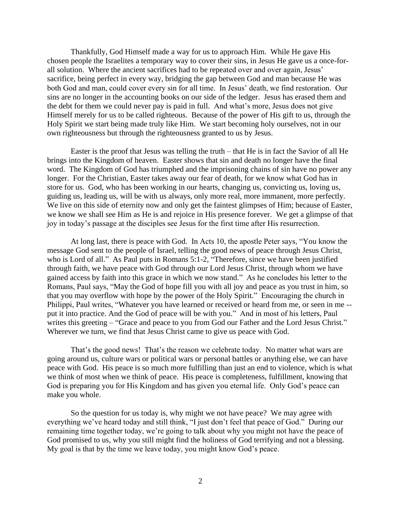Thankfully, God Himself made a way for us to approach Him. While He gave His chosen people the Israelites a temporary way to cover their sins, in Jesus He gave us a once-forall solution. Where the ancient sacrifices had to be repeated over and over again, Jesus' sacrifice, being perfect in every way, bridging the gap between God and man because He was both God and man, could cover every sin for all time. In Jesus' death, we find restoration. Our sins are no longer in the accounting books on our side of the ledger. Jesus has erased them and the debt for them we could never pay is paid in full. And what's more, Jesus does not give Himself merely for us to be called righteous. Because of the power of His gift to us, through the Holy Spirit we start being made truly like Him. We start becoming holy ourselves, not in our own righteousness but through the righteousness granted to us by Jesus.

Easter is the proof that Jesus was telling the truth – that He is in fact the Savior of all He brings into the Kingdom of heaven. Easter shows that sin and death no longer have the final word. The Kingdom of God has triumphed and the imprisoning chains of sin have no power any longer. For the Christian, Easter takes away our fear of death, for we know what God has in store for us. God, who has been working in our hearts, changing us, convicting us, loving us, guiding us, leading us, will be with us always, only more real, more immanent, more perfectly. We live on this side of eternity now and only get the faintest glimpses of Him; because of Easter, we know we shall see Him as He is and rejoice in His presence forever. We get a glimpse of that joy in today's passage at the disciples see Jesus for the first time after His resurrection.

At long last, there is peace with God. In Acts 10, the apostle Peter says, "You know the message God sent to the people of Israel, telling the good news of peace through Jesus Christ, who is Lord of all." As Paul puts in Romans 5:1-2, "Therefore, since we have been justified through faith, we have peace with God through our Lord Jesus Christ, through whom we have gained access by faith into this grace in which we now stand." As he concludes his letter to the Romans, Paul says, "May the God of hope fill you with all joy and peace as you trust in him, so that you may overflow with hope by the power of the Holy Spirit." Encouraging the church in Philippi, Paul writes, "Whatever you have learned or received or heard from me, or seen in me - put it into practice. And the God of peace will be with you." And in most of his letters, Paul writes this greeting – "Grace and peace to you from God our Father and the Lord Jesus Christ." Wherever we turn, we find that Jesus Christ came to give us peace with God.

That's the good news! That's the reason we celebrate today. No matter what wars are going around us, culture wars or political wars or personal battles or anything else, we can have peace with God. His peace is so much more fulfilling than just an end to violence, which is what we think of most when we think of peace. His peace is completeness, fulfillment, knowing that God is preparing you for His Kingdom and has given you eternal life. Only God's peace can make you whole.

So the question for us today is, why might we not have peace? We may agree with everything we've heard today and still think, "I just don't feel that peace of God." During our remaining time together today, we're going to talk about why you might not have the peace of God promised to us, why you still might find the holiness of God terrifying and not a blessing. My goal is that by the time we leave today, you might know God's peace.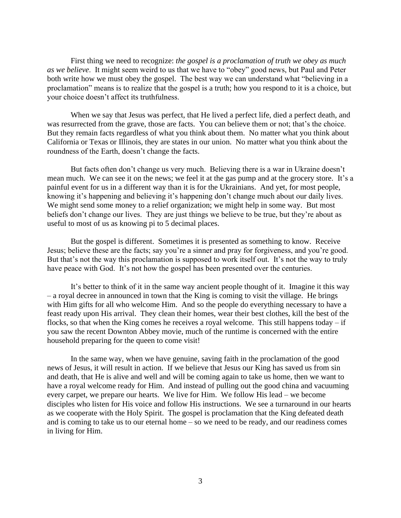First thing we need to recognize: *the gospel is a proclamation of truth we obey as much as we believe*. It might seem weird to us that we have to "obey" good news, but Paul and Peter both write how we must obey the gospel. The best way we can understand what "believing in a proclamation" means is to realize that the gospel is a truth; how you respond to it is a choice, but your choice doesn't affect its truthfulness.

When we say that Jesus was perfect, that He lived a perfect life, died a perfect death, and was resurrected from the grave, those are facts. You can believe them or not; that's the choice. But they remain facts regardless of what you think about them. No matter what you think about California or Texas or Illinois, they are states in our union. No matter what you think about the roundness of the Earth, doesn't change the facts.

But facts often don't change us very much. Believing there is a war in Ukraine doesn't mean much. We can see it on the news; we feel it at the gas pump and at the grocery store. It's a painful event for us in a different way than it is for the Ukrainians. And yet, for most people, knowing it's happening and believing it's happening don't change much about our daily lives. We might send some money to a relief organization; we might help in some way. But most beliefs don't change our lives. They are just things we believe to be true, but they're about as useful to most of us as knowing pi to 5 decimal places.

But the gospel is different. Sometimes it is presented as something to know. Receive Jesus; believe these are the facts; say you're a sinner and pray for forgiveness, and you're good. But that's not the way this proclamation is supposed to work itself out. It's not the way to truly have peace with God. It's not how the gospel has been presented over the centuries.

It's better to think of it in the same way ancient people thought of it. Imagine it this way – a royal decree in announced in town that the King is coming to visit the village. He brings with Him gifts for all who welcome Him. And so the people do everything necessary to have a feast ready upon His arrival. They clean their homes, wear their best clothes, kill the best of the flocks, so that when the King comes he receives a royal welcome. This still happens today  $-$  if you saw the recent Downton Abbey movie, much of the runtime is concerned with the entire household preparing for the queen to come visit!

In the same way, when we have genuine, saving faith in the proclamation of the good news of Jesus, it will result in action. If we believe that Jesus our King has saved us from sin and death, that He is alive and well and will be coming again to take us home, then we want to have a royal welcome ready for Him. And instead of pulling out the good china and vacuuming every carpet, we prepare our hearts. We live for Him. We follow His lead – we become disciples who listen for His voice and follow His instructions. We see a turnaround in our hearts as we cooperate with the Holy Spirit. The gospel is proclamation that the King defeated death and is coming to take us to our eternal home – so we need to be ready, and our readiness comes in living for Him.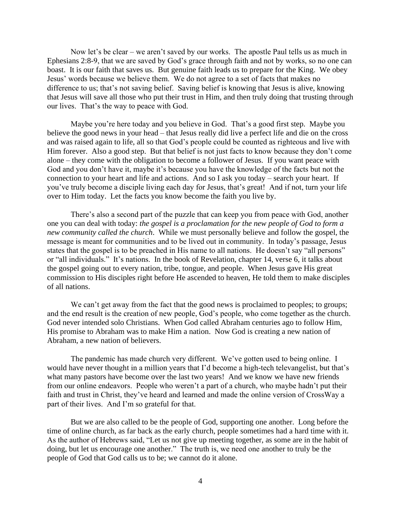Now let's be clear – we aren't saved by our works. The apostle Paul tells us as much in Ephesians 2:8-9, that we are saved by God's grace through faith and not by works, so no one can boast. It is our faith that saves us. But genuine faith leads us to prepare for the King. We obey Jesus' words because we believe them. We do not agree to a set of facts that makes no difference to us; that's not saving belief. Saving belief is knowing that Jesus is alive, knowing that Jesus will save all those who put their trust in Him, and then truly doing that trusting through our lives. That's the way to peace with God.

Maybe you're here today and you believe in God. That's a good first step. Maybe you believe the good news in your head – that Jesus really did live a perfect life and die on the cross and was raised again to life, all so that God's people could be counted as righteous and live with Him forever. Also a good step. But that belief is not just facts to know because they don't come alone – they come with the obligation to become a follower of Jesus. If you want peace with God and you don't have it, maybe it's because you have the knowledge of the facts but not the connection to your heart and life and actions. And so I ask you today – search your heart. If you've truly become a disciple living each day for Jesus, that's great! And if not, turn your life over to Him today. Let the facts you know become the faith you live by.

There's also a second part of the puzzle that can keep you from peace with God, another one you can deal with today: *the gospel is a proclamation for the new people of God to form a new community called the church*. While we must personally believe and follow the gospel, the message is meant for communities and to be lived out in community. In today's passage, Jesus states that the gospel is to be preached in His name to all nations. He doesn't say "all persons" or "all individuals." It's nations. In the book of Revelation, chapter 14, verse 6, it talks about the gospel going out to every nation, tribe, tongue, and people. When Jesus gave His great commission to His disciples right before He ascended to heaven, He told them to make disciples of all nations.

We can't get away from the fact that the good news is proclaimed to peoples; to groups; and the end result is the creation of new people, God's people, who come together as the church. God never intended solo Christians. When God called Abraham centuries ago to follow Him, His promise to Abraham was to make Him a nation. Now God is creating a new nation of Abraham, a new nation of believers.

The pandemic has made church very different. We've gotten used to being online. I would have never thought in a million years that I'd become a high-tech televangelist, but that's what many pastors have become over the last two years! And we know we have new friends from our online endeavors. People who weren't a part of a church, who maybe hadn't put their faith and trust in Christ, they've heard and learned and made the online version of CrossWay a part of their lives. And I'm so grateful for that.

But we are also called to be the people of God, supporting one another. Long before the time of online church, as far back as the early church, people sometimes had a hard time with it. As the author of Hebrews said, "Let us not give up meeting together, as some are in the habit of doing, but let us encourage one another." The truth is, we need one another to truly be the people of God that God calls us to be; we cannot do it alone.